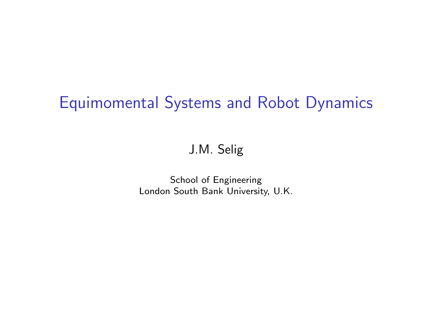## Equimomental Systems and Robot Dynamics

#### J.M. Selig

School of Engineering London South Bank University, U.K.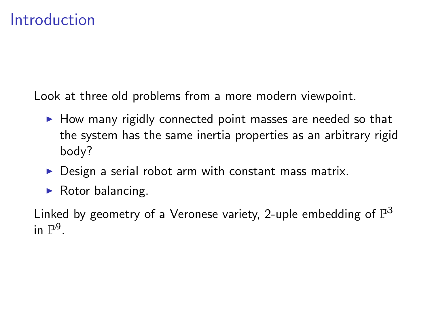### Introduction

Look at three old problems from a more modern viewpoint.

- $\blacktriangleright$  How many rigidly connected point masses are needed so that the system has the same inertia properties as an arbitrary rigid body?
- $\triangleright$  Design a serial robot arm with constant mass matrix.
- $\blacktriangleright$  Rotor balancing.

Linked by geometry of a Veronese variety, 2-uple embedding of  $\mathbb{P}^3$ in  $\mathbb{P}^9$ .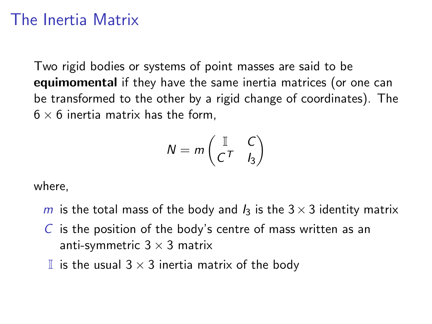## The Inertia Matrix

Two rigid bodies or systems of point masses are said to be equimomental if they have the same inertia matrices (or one can be transformed to the other by a rigid change of coordinates). The  $6 \times 6$  inertia matrix has the form.

$$
N = m \begin{pmatrix} \mathbb{I} & C \\ C^T & I_3 \end{pmatrix}
$$

where,

- m is the total mass of the body and  $I_3$  is the  $3 \times 3$  identity matrix
- $\overline{C}$  is the position of the body's centre of mass written as an anti-symmetric  $3 \times 3$  matrix
- I is the usual  $3 \times 3$  inertia matrix of the body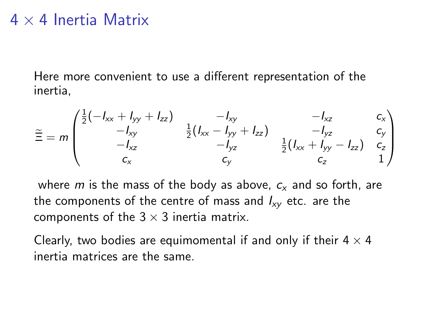#### $4 \times 4$  Inertia Matrix

Here more convenient to use a different representation of the inertia,

$$
\widetilde{\Xi} = m \begin{pmatrix} \frac{1}{2}(-I_{xx} + I_{yy} + I_{zz}) & -I_{xy} & -I_{xz} & c_x \\ -I_{xy} & \frac{1}{2}(I_{xx} - I_{yy} + I_{zz}) & -I_{yz} & c_y \\ -I_{xz} & -I_{yz} & \frac{1}{2}(I_{xx} + I_{yy} - I_{zz}) & c_z \\ c_x & c_y & c_z & 1 \end{pmatrix}
$$

where m is the mass of the body as above,  $c_x$  and so forth, are the components of the centre of mass and  $I_{xy}$  etc. are the components of the  $3 \times 3$  inertia matrix.

Clearly, two bodies are equimomental if and only if their  $4 \times 4$ inertia matrices are the same.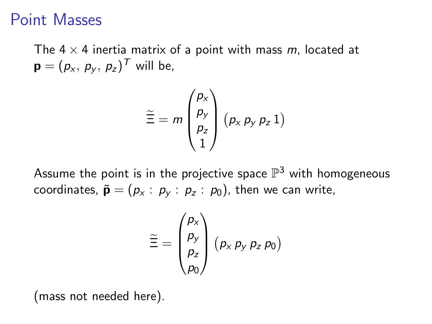#### Point Masses

The  $4 \times 4$  inertia matrix of a point with mass m, located at  $\mathbf{p}=(p_{x}, p_{y}, p_{z})^{T}$  will be,

$$
\widetilde{\Xi} = m \begin{pmatrix} p_x \\ p_y \\ p_z \\ 1 \end{pmatrix} (p_x p_y p_z 1)
$$

Assume the point is in the projective space  $\mathbb{P}^3$  with homogeneous coordinates,  $\tilde{\mathbf{p}} = (p_x : p_y : p_z : p_0)$ , then we can write,

$$
\widetilde{\Xi} = \begin{pmatrix} p_{\mathsf{x}} \\ p_{\mathsf{y}} \\ p_{\mathsf{z}} \\ p_{\mathsf{0}} \end{pmatrix} (p_{\mathsf{x}} p_{\mathsf{y}} p_{\mathsf{z}} p_{\mathsf{0}})
$$

(mass not needed here).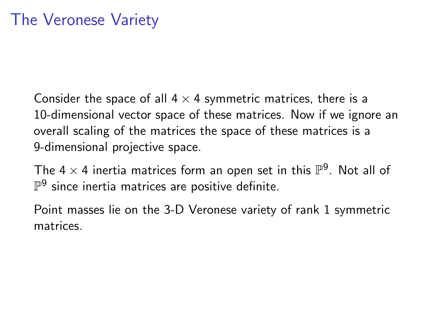Consider the space of all  $4 \times 4$  symmetric matrices, there is a 10-dimensional vector space of these matrices. Now if we ignore an overall scaling of the matrices the space of these matrices is a 9-dimensional projective space.

The 4  $\times$  4 inertia matrices form an open set in this  $\mathbb{P}^9$ . Not all of  $\mathbb{P}^9$  since inertia matrices are positive definite.

Point masses lie on the 3-D Veronese variety of rank 1 symmetric matrices.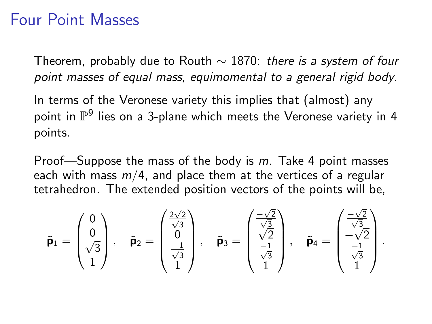#### Four Point Masses

Theorem, probably due to Routh  $\sim$  1870: there is a system of four point masses of equal mass, equimomental to a general rigid body.

In terms of the Veronese variety this implies that (almost) any point in  $\mathbb{P}^9$  lies on a 3-plane which meets the Veronese variety in 4 points.

Proof—Suppose the mass of the body is  $m$ . Take 4 point masses each with mass  $m/4$ , and place them at the vertices of a regular tetrahedron. The extended position vectors of the points will be,

$$
\tilde{\mathbf{p}}_1 = \begin{pmatrix} 0 \\ 0 \\ \sqrt{3} \\ 1 \end{pmatrix}, \quad \tilde{\mathbf{p}}_2 = \begin{pmatrix} \frac{2\sqrt{2}}{\sqrt{3}} \\ 0 \\ \frac{-1}{\sqrt{3}} \\ 1 \end{pmatrix}, \quad \tilde{\mathbf{p}}_3 = \begin{pmatrix} \frac{-\sqrt{2}}{\sqrt{3}} \\ \sqrt{2} \\ \frac{-1}{\sqrt{3}} \\ 1 \end{pmatrix}, \quad \tilde{\mathbf{p}}_4 = \begin{pmatrix} \frac{-\sqrt{2}}{\sqrt{3}} \\ -\sqrt{2} \\ \frac{-1}{\sqrt{3}} \\ 1 \end{pmatrix}.
$$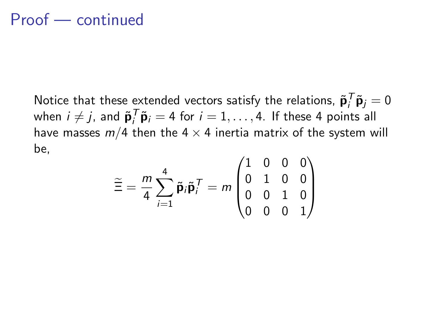### Proof — continued

Notice that these extended vectors satisfy the relations,  $\tilde{\mathbf{p}}_i^T \tilde{\mathbf{p}}_j = 0$ when  $i \neq j$ , and  $\tilde{\mathbf{p}}_i^T \tilde{\mathbf{p}}_i = 4$  for  $i = 1, \ldots, 4$ . If these 4 points all have masses  $m/4$  then the  $4 \times 4$  inertia matrix of the system will be,

$$
\widetilde{\Xi} = \frac{m}{4} \sum_{i=1}^{4} \widetilde{\mathbf{p}}_i \widetilde{\mathbf{p}}_i^T = m \begin{pmatrix} 1 & 0 & 0 & 0 \\ 0 & 1 & 0 & 0 \\ 0 & 0 & 1 & 0 \\ 0 & 0 & 0 & 1 \end{pmatrix}
$$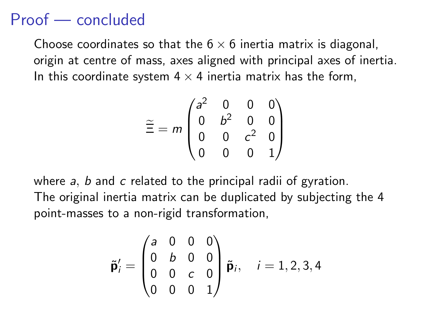### Proof — concluded

Choose coordinates so that the  $6 \times 6$  inertia matrix is diagonal, origin at centre of mass, axes aligned with principal axes of inertia. In this coordinate system  $4 \times 4$  inertia matrix has the form.

$$
\widetilde{\Xi} = m \begin{pmatrix} a^2 & 0 & 0 & 0 \\ 0 & b^2 & 0 & 0 \\ 0 & 0 & c^2 & 0 \\ 0 & 0 & 0 & 1 \end{pmatrix}
$$

where  $a$ ,  $b$  and  $c$  related to the principal radii of gyration. The original inertia matrix can be duplicated by subjecting the 4 point-masses to a non-rigid transformation,

$$
\tilde{\mathbf{p}}'_i = \begin{pmatrix} a & 0 & 0 & 0 \\ 0 & b & 0 & 0 \\ 0 & 0 & c & 0 \\ 0 & 0 & 0 & 1 \end{pmatrix} \tilde{\mathbf{p}}_i, \quad i = 1, 2, 3, 4
$$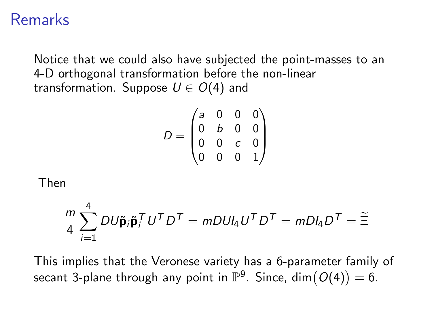#### Remarks

Notice that we could also have subjected the point-masses to an 4-D orthogonal transformation before the non-linear transformation. Suppose  $U \in O(4)$  and

$$
D = \begin{pmatrix} a & 0 & 0 & 0 \\ 0 & b & 0 & 0 \\ 0 & 0 & c & 0 \\ 0 & 0 & 0 & 1 \end{pmatrix}
$$

Then

$$
\frac{m}{4} \sum_{i=1}^{4} DU\tilde{\mathbf{p}}_i \tilde{\mathbf{p}}_i^T U^T D^T = mDUl_4 U^T D^T = mDl_4 D^T = \tilde{\Xi}
$$

This implies that the Veronese variety has a 6-parameter family of secant 3-plane through any point in  $\mathbb{P}^9$ . Since,  $\dim(O(4))=6.$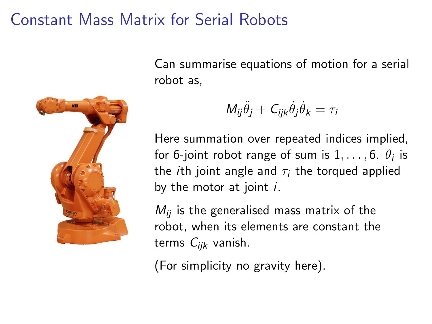### Constant Mass Matrix for Serial Robots



Can summarise equations of motion for a serial robot as,

$$
M_{ij}\ddot{\theta}_j + C_{ijk}\dot{\theta}_j\dot{\theta}_k = \tau_i
$$

Here summation over repeated indices implied, for 6-joint robot range of sum is  $1,\ldots,6$ .  $\theta_i$  is the *i*th joint angle and  $\tau_i$  the torqued applied by the motor at joint  $i$ .

 $M_{ii}$  is the generalised mass matrix of the robot, when its elements are constant the terms  $C_{ijk}$  vanish.

(For simplicity no gravity here).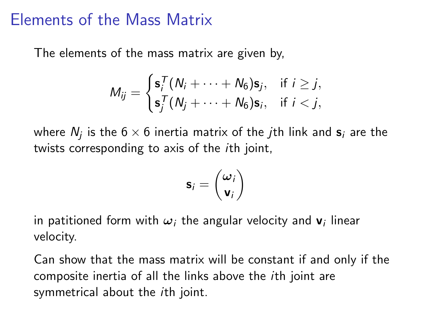#### Elements of the Mass Matrix

The elements of the mass matrix are given by,

$$
M_{ij} = \begin{cases} \mathbf{s}_i^T (N_i + \cdots + N_6) \mathbf{s}_j, & \text{if } i \geq j, \\ \mathbf{s}_j^T (N_j + \cdots + N_6) \mathbf{s}_i, & \text{if } i < j, \end{cases}
$$

where  $N_j$  is the 6  $\times$  6 inertia matrix of the  $j$ th link and  $\mathbf{s}_i$  are the twists corresponding to axis of the ith joint,

$$
\mathbf{s}_i = \begin{pmatrix} \boldsymbol{\omega}_i \\ \mathbf{v}_i \end{pmatrix}
$$

in patitioned form with  $\bm{\omega}_i$  the angular velocity and  $\mathbf{v}_i$  linear velocity.

Can show that the mass matrix will be constant if and only if the composite inertia of all the links above the ith joint are symmetrical about the *ith* joint.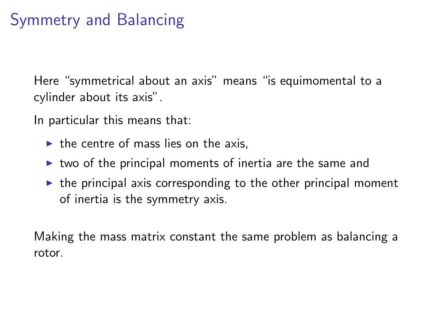# Symmetry and Balancing

Here "symmetrical about an axis" means "is equimomental to a cylinder about its axis".

In particular this means that:

- $\triangleright$  the centre of mass lies on the axis.
- $\triangleright$  two of the principal moments of inertia are the same and
- $\triangleright$  the principal axis corresponding to the other principal moment of inertia is the symmetry axis.

Making the mass matrix constant the same problem as balancing a rotor.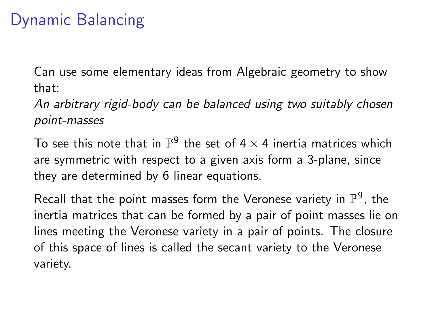## Dynamic Balancing

Can use some elementary ideas from Algebraic geometry to show that:

An arbitrary rigid-body can be balanced using two suitably chosen point-masses

To see this note that in  $\mathbb{P}^9$  the set of 4  $\times$  4 inertia matrices which are symmetric with respect to a given axis form a 3-plane, since they are determined by 6 linear equations.

Recall that the point masses form the Veronese variety in  $\mathbb{P}^9$ , the inertia matrices that can be formed by a pair of point masses lie on lines meeting the Veronese variety in a pair of points. The closure of this space of lines is called the secant variety to the Veronese variety.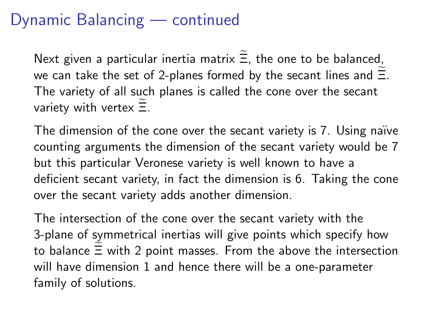## Dynamic Balancing — continued

Next given a particular inertia matrix  $\Xi$ , the one to be balanced, we can take the set of 2-planes formed by the secant lines and  $\Xi$ . The variety of all such planes is called the cone over the secant variety with vertex  $\Xi$ .

The dimension of the cone over the secant variety is 7. Using naïve counting arguments the dimension of the secant variety would be 7 but this particular Veronese variety is well known to have a deficient secant variety, in fact the dimension is 6. Taking the cone over the secant variety adds another dimension.

The intersection of the cone over the secant variety with the 3-plane of symmetrical inertias will give points which specify how to balance  $\Xi$  with 2 point masses. From the above the intersection will have dimension 1 and hence there will be a one-parameter family of solutions.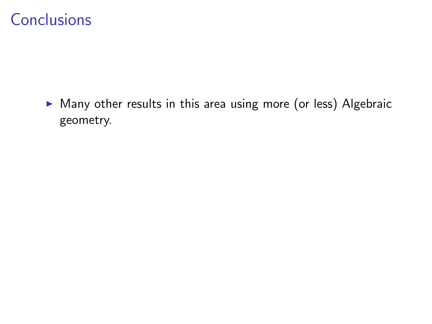$\triangleright$  Many other results in this area using more (or less) Algebraic geometry.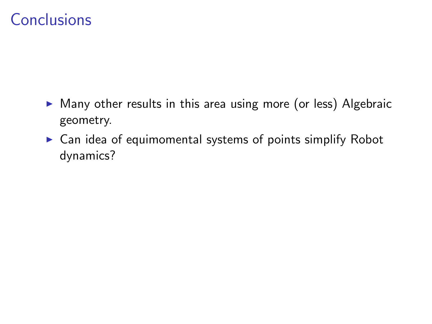- $\triangleright$  Many other results in this area using more (or less) Algebraic geometry.
- $\triangleright$  Can idea of equimomental systems of points simplify Robot dynamics?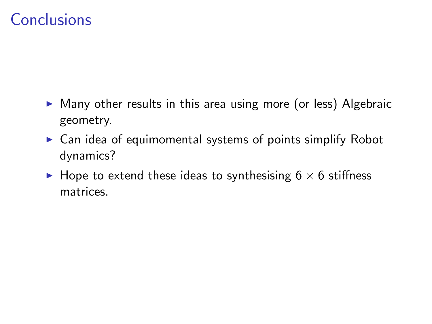- $\triangleright$  Many other results in this area using more (or less) Algebraic geometry.
- $\triangleright$  Can idea of equimomental systems of points simplify Robot dynamics?
- $\blacktriangleright$  Hope to extend these ideas to synthesising 6  $\times$  6 stiffness matrices.